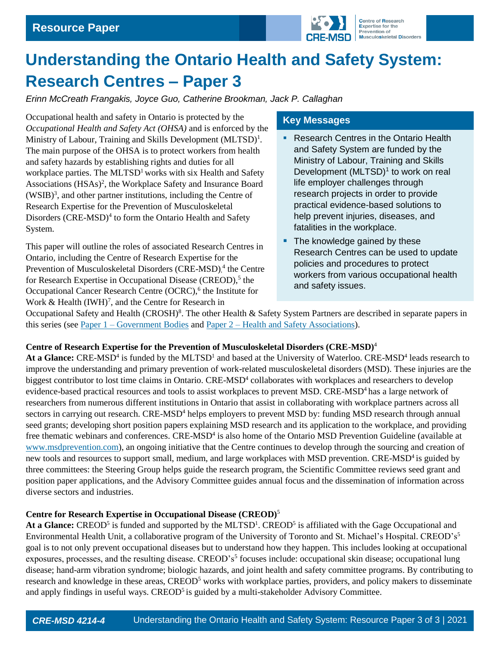

# **Understanding the Ontario Health and Safety System: Research Centres – Paper 3**

*Erinn McCreath Frangakis, Joyce Guo, Catherine Brookman, Jack P. Callaghan*

Occupational health and safety in Ontario is protected by the *Occupational Health and Safety Act (OHSA)* and is enforced by the Ministry of Labour, Training and Skills Development (MLTSD)<sup>1</sup>. The main purpose of the OHSA is to protect workers from health and safety hazards by establishing rights and duties for all workplace parties. The  $MLTSD<sup>1</sup>$  works with six Health and Safety Associations (HSAs)<sup>2</sup>, the Workplace Safety and Insurance Board (WSIB)<sup>3</sup> , and other partner institutions, including the Centre of Research Expertise for the Prevention of Musculoskeletal Disorders (CRE-MSD)<sup>4</sup> to form the Ontario Health and Safety System.

This paper will outline the roles of associated Research Centres in Ontario, including the Centre of Research Expertise for the Prevention of Musculoskeletal Disorders (CRE-MSD),<sup>4</sup> the Centre for Research Expertise in Occupational Disease (CREOD),<sup>5</sup> the Occupational Cancer Research Centre (OCRC),<sup>6</sup> the Institute for Work  $\&$  Health (IWH)<sup>7</sup>, and the Centre for Research in

## **Key Messages**

- Research Centres in the Ontario Health and Safety System are funded by the Ministry of Labour, Training and Skills Development (MLTSD)<sup>1</sup> to work on real life employer challenges through research projects in order to provide practical evidence-based solutions to help prevent injuries, diseases, and fatalities in the workplace.
- The knowledge gained by these Research Centres can be used to update policies and procedures to protect workers from various occupational health and safety issues.

Occupational Safety and Health (CROSH)<sup>8</sup>. The other Health & Safety System Partners are described in separate papers in this series (see Paper 1 – [Government Bodies](https://uwaterloo.ca/centre-of-research-expertise-for-the-prevention-of-musculoskeletal-disorders/resources/position-papers/understanding-ontario-health-and-safety-system-government) and Paper 2 – [Health and Safety Associations\)](https://uwaterloo.ca/centre-of-research-expertise-for-the-prevention-of-musculoskeletal-disorders/resources/position-papers/understanding-ontario-health-and-safety-system-health-and).

#### **Centre of Research Expertise for the Prevention of Musculoskeletal Disorders (CRE-MSD)**<sup>4</sup>

At a Glance: CRE-MSD<sup>4</sup> is funded by the MLTSD<sup>1</sup> and based at the University of Waterloo. CRE-MSD<sup>4</sup> leads research to improve the understanding and primary prevention of work-related musculoskeletal disorders (MSD). These injuries are the biggest contributor to lost time claims in Ontario. CRE-MSD<sup>4</sup> collaborates with workplaces and researchers to develop evidence-based practical resources and tools to assist workplaces to prevent MSD. CRE-MSD<sup>4</sup> has a large network of researchers from numerous different institutions in Ontario that assist in collaborating with workplace partners across all sectors in carrying out research. CRE-MSD<sup>4</sup> helps employers to prevent MSD by: funding MSD research through annual seed grants; developing short position papers explaining MSD research and its application to the workplace, and providing free thematic webinars and conferences. CRE-MSD<sup>4</sup> is also home of the Ontario MSD Prevention Guideline (available at [www.msdprevention.com\)](http://www.msdprevention.com/), an ongoing initiative that the Centre continues to develop through the sourcing and creation of new tools and resources to support small, medium, and large workplaces with MSD prevention. CRE-MSD<sup>4</sup> is guided by three committees: the Steering Group helps guide the research program, the Scientific Committee reviews seed grant and position paper applications, and the Advisory Committee guides annual focus and the dissemination of information across diverse sectors and industries.

## **Centre for Research Expertise in Occupational Disease (CREOD)**<sup>5</sup>

At a Glance: CREOD<sup>5</sup> is funded and supported by the MLTSD<sup>1</sup>. CREOD<sup>5</sup> is affiliated with the Gage Occupational and [Environmental Health Unit,](http://www.utoronto.ca/occmed/) a collaborative program of th[e University of Toronto](http://www.utoronto.ca/) an[d St. Michael's Hospital.](http://www.stmichaelshospital.com/) CREOD's<sup>5</sup> goal is to not only prevent occupational diseases but to understand how they happen. This includes looking at occupational exposures, processes, and the resulting disease. CREOD's<sup>5</sup> focuses include: occupational skin disease; occupational lung disease; hand-arm vibration syndrome; biologic hazards, and joint health and safety committee programs. By contributing to research and knowledge in these areas, CREOD<sup>5</sup> works with workplace parties, providers, and policy makers to disseminate and apply findings in useful ways.  $CREOD<sup>5</sup>$  is guided by a multi-stakeholder Advisory Committee.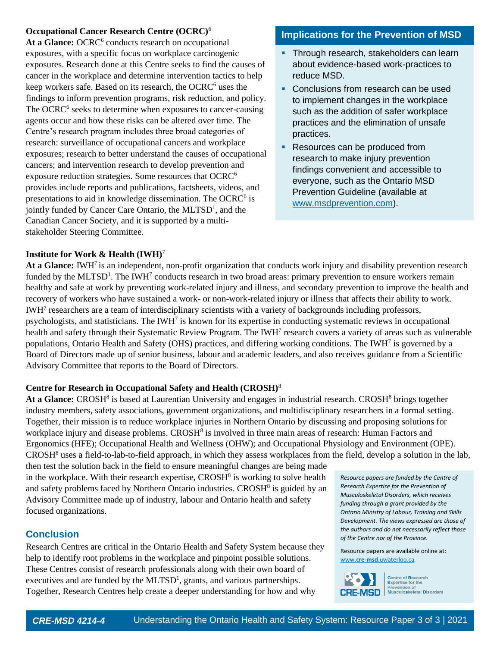## **Occupational Cancer Research Centre (OCRC)**<sup>6</sup>

At a Glance: OCRC<sup>6</sup> conducts research on occupational exposures, with a specific focus on workplace carcinogenic exposures. Research done at this Centre seeks to find the causes of cancer in the workplace and determine intervention tactics to help keep workers safe. Based on its research, the OCRC<sup>6</sup> uses the findings to inform prevention programs, risk reduction, and policy. The OCRC<sup>6</sup> seeks to determine when exposures to cancer-causing agents occur and how these risks can be altered over time. The Centre's research program includes three broad categories of research: surveillance of occupational cancers and workplace exposures; research to better understand the causes of occupational cancers; and intervention research to develop prevention and exposure reduction strategies. Some resources that OCRC<sup>6</sup> provides include reports and publications, factsheets, videos, and presentations to aid in knowledge dissemination. The OCRC<sup>6</sup> is jointly funded by Cancer Care Ontario, the MLTSD<sup>1</sup>, and the Canadian Cancer Society, and it is supported by a multistakeholder Steering Committee.

## **Implications for the Prevention of MSD**

- **·** Through research, stakeholders can learn about evidence-based work-practices to reduce MSD.
- **Conclusions from research can be used** to implement changes in the workplace such as the addition of safer workplace practices and the elimination of unsafe practices.
- Resources can be produced from research to make injury prevention findings convenient and accessible to everyone, such as the Ontario MSD Prevention Guideline (available at [www.msdprevention.com\)](www.msdprevention.com).

#### **Institute for Work & Health (IWH)**<sup>7</sup>

At a Glance: IWH<sup>7</sup> is an independent, non-profit organization that conducts work injury and disability prevention research funded by the MLTSD<sup>1</sup>. The IWH<sup>7</sup> conducts research in two broad areas: primary prevention to ensure workers remain healthy and safe at work by preventing work-related injury and illness, and secondary prevention to improve the health and recovery of workers who have sustained a work- or non-work-related injury or illness that affects their ability to work. IWH<sup>7</sup> researchers are a team of interdisciplinary scientists with a variety of backgrounds including professors, psychologists, and statisticians. The IWH<sup>7</sup> is known for its expertise in conducting systematic reviews in occupational health and safety through their Systematic Review Program. The IWH<sup>7</sup> research covers a variety of areas such as vulnerable populations, Ontario Health and Safety (OHS) practices, and differing working conditions. The IWH<sup>7</sup> is governed by a Board of Directors made up of senior business, labour and academic leaders, and also receives guidance from a Scientific Advisory Committee that reports to the Board of Directors.

#### **Centre for Research in Occupational Safety and Health (CROSH)**<sup>8</sup>

At a Glance: CROSH<sup>8</sup> is based at Laurentian University and engages in industrial research. CROSH<sup>8</sup> brings together industry members, safety associations, government organizations, and multidisciplinary researchers in a formal setting. Together, their mission is to reduce workplace injuries in Northern Ontario by discussing and proposing solutions for workplace injury and disease problems. CROSH<sup>8</sup> is involved in three main areas of research: Human Factors and Ergonomics (HFE); Occupational Health and Wellness (OHW); and Occupational Physiology and Environment (OPE).  $CROSH<sup>8</sup>$  uses a field-to-lab-to-field approach, in which they assess workplaces from the field, develop a solution in the lab,

then test the solution back in the field to ensure meaningful changes are being made in the workplace. With their research expertise, CROSH<sup>8</sup> is working to solve health and safety problems faced by Northern Ontario industries. CROSH<sup>8</sup> is guided by an Advisory Committee made up of industry, labour and Ontario health and safety focused organizations.

## **Conclusion**

Research Centres are critical in the Ontario Health and Safety System because they help to identify root problems in the workplace and pinpoint possible solutions. These Centres consist of research professionals along with their own board of executives and are funded by the  $MLTSD<sup>1</sup>$ , grants, and various partnerships. Together, Research Centres help create a deeper understanding for how and why

*Resource papers are funded by the Centre of Research Expertise for the Prevention of Musculoskeletal Disorders, which receives funding through a grant provided by the Ontario Ministry of Labour, Training and Skills Development. The views expressed are those of the authors and do not necessarily reflect those of the Centre nor of the Province.* 

Resource papers are available online at: www.**cre**-**msd**[.uwaterloo.ca](http://www.cre-msd.uwaterloo.ca/)*.*



Centre of Research<br>Expertise for the<br>Prevention of<br>Musculoskeletal Disorders